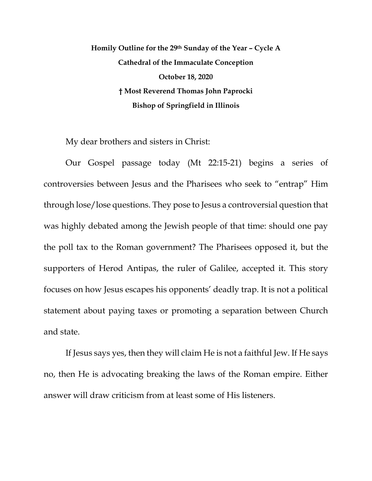**Homily Outline for the 29th Sunday of the Year – Cycle A Cathedral of the Immaculate Conception October 18, 2020 † Most Reverend Thomas John Paprocki Bishop of Springfield in Illinois**

My dear brothers and sisters in Christ:

Our Gospel passage today (Mt 22:15-21) begins a series of controversies between Jesus and the Pharisees who seek to "entrap" Him through lose/lose questions. They pose to Jesus a controversial question that was highly debated among the Jewish people of that time: should one pay the poll tax to the Roman government? The Pharisees opposed it, but the supporters of Herod Antipas, the ruler of Galilee, accepted it. This story focuses on how Jesus escapes his opponents' deadly trap. It is not a political statement about paying taxes or promoting a separation between Church and state.

If Jesus says yes, then they will claim He is not a faithful Jew. If He says no, then He is advocating breaking the laws of the Roman empire. Either answer will draw criticism from at least some of His listeners.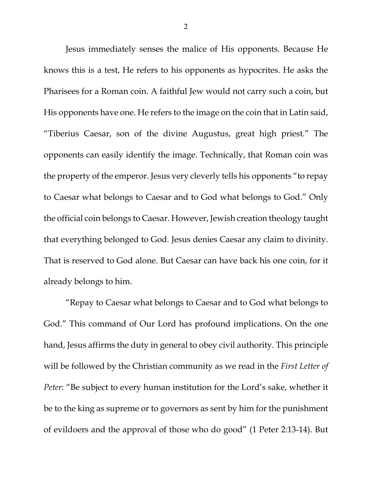Jesus immediately senses the malice of His opponents. Because He knows this is a test, He refers to his opponents as hypocrites. He asks the Pharisees for a Roman coin. A faithful Jew would not carry such a coin, but His opponents have one. He refers to the image on the coin that in Latin said, "Tiberius Caesar, son of the divine Augustus, great high priest." The opponents can easily identify the image. Technically, that Roman coin was the property of the emperor. Jesus very cleverly tells his opponents "to repay to Caesar what belongs to Caesar and to God what belongs to God." Only the official coin belongs to Caesar. However, Jewish creation theology taught that everything belonged to God. Jesus denies Caesar any claim to divinity. That is reserved to God alone. But Caesar can have back his one coin, for it already belongs to him.

"Repay to Caesar what belongs to Caesar and to God what belongs to God." This command of Our Lord has profound implications. On the one hand, Jesus affirms the duty in general to obey civil authority. This principle will be followed by the Christian community as we read in the *First Letter of Peter*: "Be subject to every human institution for the Lord's sake, whether it be to the king as supreme or to governors as sent by him for the punishment of evildoers and the approval of those who do good" (1 Peter 2:13-14). But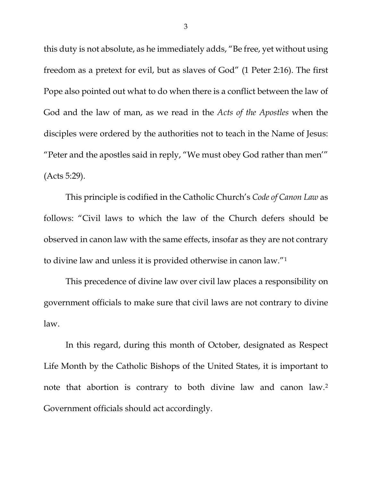this duty is not absolute, as he immediately adds, "Be free, yet without using freedom as a pretext for evil, but as slaves of God" (1 Peter 2:16). The first Pope also pointed out what to do when there is a conflict between the law of God and the law of man, as we read in the *Acts of the Apostles* when the disciples were ordered by the authorities not to teach in the Name of Jesus: "Peter and the apostles said in reply, "We must obey God rather than men'" (Acts 5:29).

This principle is codified in the Catholic Church's *Code of Canon Law* as follows: "Civil laws to which the law of the Church defers should be observed in canon law with the same effects, insofar as they are not contrary to divine law and unless it is provided otherwise in canon law."[1](#page-7-0)

This precedence of divine law over civil law places a responsibility on government officials to make sure that civil laws are not contrary to divine law.

In this regard, during this month of October, designated as Respect Life Month by the Catholic Bishops of the United States, it is important to note that abortion is contrary to both divine law and canon law[.2](#page-8-0) Government officials should act accordingly.

3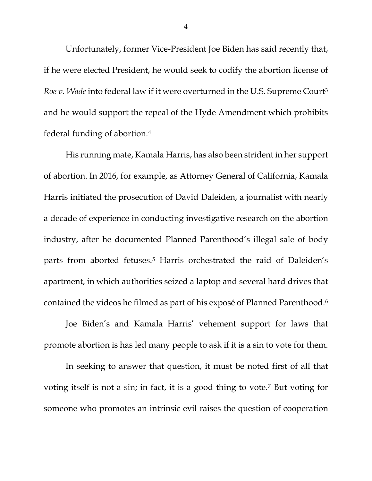Unfortunately, former Vice-President Joe Biden has said recently that, if he were elected President, he would seek to codify the abortion license of *Roe v. Wade* into federal law if it were overturned in the U.S. Supreme Cour[t3](#page-8-1) and he would support the repeal of the Hyde Amendment which prohibits federal funding of abortion.[4](#page-8-2)

His running mate, Kamala Harris, has also been strident in her support of abortion. In 2016, for example, as Attorney General of California, Kamala Harris initiated the prosecution of David Daleiden, a journalist with nearly a decade of experience in conducting investigative research on the abortion industry, after he documented Planned Parenthood's illegal sale of body parts from aborted fetuses.[5](#page-8-3) Harris orchestrated the raid of Daleiden's apartment, in which authorities seized a laptop and several hard drives that contained the videos he filmed as part of his exposé of Planned Parenthood[.6](#page-8-4)

Joe Biden's and Kamala Harris' vehement support for laws that promote abortion is has led many people to ask if it is a sin to vote for them.

In seeking to answer that question, it must be noted first of all that voting itself is not a sin; in fact, it is a good thing to vote.[7](#page-8-5) But voting for someone who promotes an intrinsic evil raises the question of cooperation

4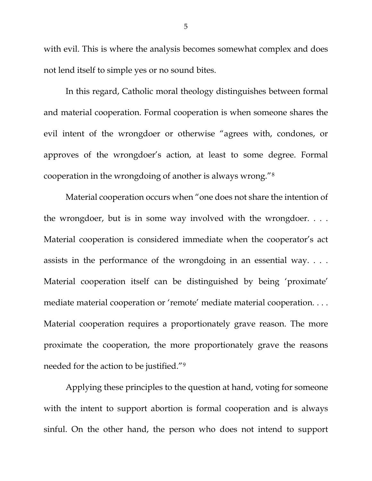with evil. This is where the analysis becomes somewhat complex and does not lend itself to simple yes or no sound bites.

In this regard, Catholic moral theology distinguishes between formal and material cooperation. Formal cooperation is when someone shares the evil intent of the wrongdoer or otherwise "agrees with, condones, or approves of the wrongdoer's action, at least to some degree. Formal cooperation in the wrongdoing of another is always wrong."[8](#page-8-6)

Material cooperation occurs when "one does not share the intention of the wrongdoer, but is in some way involved with the wrongdoer. . . . Material cooperation is considered immediate when the cooperator's act assists in the performance of the wrongdoing in an essential way. . . . Material cooperation itself can be distinguished by being 'proximate' mediate material cooperation or 'remote' mediate material cooperation. . . . Material cooperation requires a proportionately grave reason. The more proximate the cooperation, the more proportionately grave the reasons needed for the action to be justified."[9](#page-8-7)

Applying these principles to the question at hand, voting for someone with the intent to support abortion is formal cooperation and is always sinful. On the other hand, the person who does not intend to support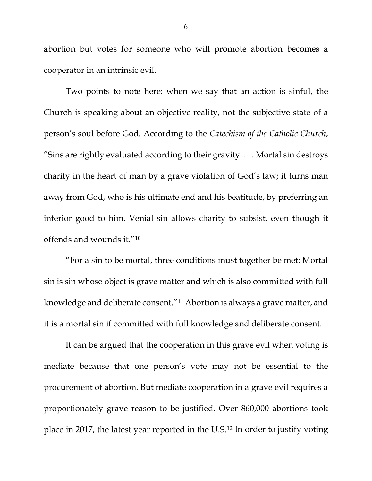abortion but votes for someone who will promote abortion becomes a cooperator in an intrinsic evil.

Two points to note here: when we say that an action is sinful, the Church is speaking about an objective reality, not the subjective state of a person's soul before God. According to the *Catechism of the Catholic Church*, "Sins are rightly evaluated according to their gravity. . . . Mortal sin destroys charity in the heart of man by a grave violation of God's law; it turns man away from God, who is his ultimate end and his beatitude, by preferring an inferior good to him. Venial sin allows charity to subsist, even though it offends and wounds it.["10](#page-8-8)

"For a sin to be mortal, three conditions must together be met: Mortal sin is sin whose object is grave matter and which is also committed with full knowledge and deliberate consent."[11](#page-8-9) Abortion is always a grave matter, and it is a mortal sin if committed with full knowledge and deliberate consent.

It can be argued that the cooperation in this grave evil when voting is mediate because that one person's vote may not be essential to the procurement of abortion. But mediate cooperation in a grave evil requires a proportionately grave reason to be justified. Over 860,000 abortions took place in 2017, the latest year reported in the U.S.[12](#page-8-10) In order to justify voting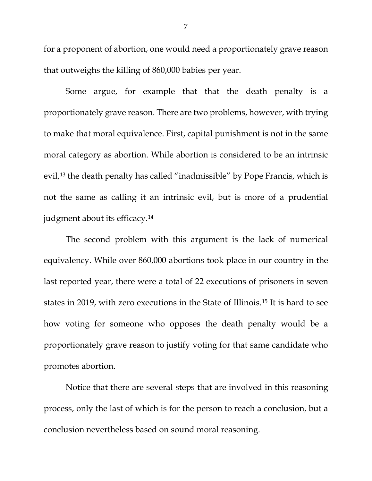for a proponent of abortion, one would need a proportionately grave reason that outweighs the killing of 860,000 babies per year.

Some argue, for example that that the death penalty is a proportionately grave reason. There are two problems, however, with trying to make that moral equivalence. First, capital punishment is not in the same moral category as abortion. While abortion is considered to be an intrinsic evil,<sup>[13](#page-8-11)</sup> the death penalty has called "inadmissible" by Pope Francis, which is not the same as calling it an intrinsic evil, but is more of a prudential judgment about its efficacy.<sup>[14](#page-9-0)</sup>

The second problem with this argument is the lack of numerical equivalency. While over 860,000 abortions took place in our country in the last reported year, there were a total of 22 executions of prisoners in seven states in 2019, with zero executions in the State of Illinois.[15](#page-9-1) It is hard to see how voting for someone who opposes the death penalty would be a proportionately grave reason to justify voting for that same candidate who promotes abortion.

Notice that there are several steps that are involved in this reasoning process, only the last of which is for the person to reach a conclusion, but a conclusion nevertheless based on sound moral reasoning.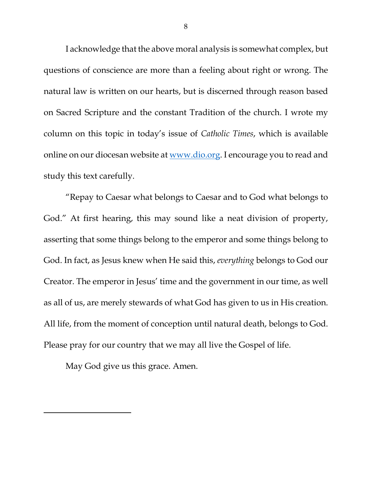I acknowledge that the above moral analysis is somewhat complex, but questions of conscience are more than a feeling about right or wrong. The natural law is written on our hearts, but is discerned through reason based on Sacred Scripture and the constant Tradition of the church. I wrote my column on this topic in today's issue of *Catholic Times*, which is available online on our diocesan website at [www.dio.org.](http://www.dio.org/) I encourage you to read and study this text carefully.

"Repay to Caesar what belongs to Caesar and to God what belongs to God." At first hearing, this may sound like a neat division of property, asserting that some things belong to the emperor and some things belong to God. In fact, as Jesus knew when He said this, *everything* belongs to God our Creator. The emperor in Jesus' time and the government in our time, as well as all of us, are merely stewards of what God has given to us in His creation. All life, from the moment of conception until natural death, belongs to God. Please pray for our country that we may all live the Gospel of life.

<span id="page-7-0"></span>May God give us this grace. Amen.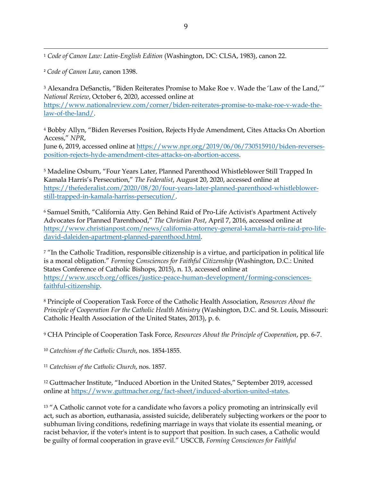<sup>1</sup> *Code of Canon Law: Latin-English Edition* (Washington, DC: CLSA, 1983), canon 22.

<span id="page-8-0"></span><sup>2</sup> *Code of Canon Law*, canon 1398.

<span id="page-8-1"></span><sup>3</sup> Alexandra DeSanctis, "Biden Reiterates Promise to Make Roe v. Wade the 'Law of the Land,'" *National Review*, October 6, 2020, accessed online at

[https://www.nationalreview.com/corner/biden-reiterates-promise-to-make-roe-v-wade-the](https://www.nationalreview.com/corner/biden-reiterates-promise-to-make-roe-v-wade-the-law-of-the-land/)[law-of-the-land/.](https://www.nationalreview.com/corner/biden-reiterates-promise-to-make-roe-v-wade-the-law-of-the-land/)

<span id="page-8-2"></span><sup>4</sup> Bobby Allyn, "Biden Reverses Position, Rejects Hyde Amendment, Cites Attacks On Abortion Access," *NPR*,

June 6, 2019, accessed online at [https://www.npr.org/2019/06/06/730515910/biden-reverses](https://www.npr.org/2019/06/06/730515910/biden-reverses-position-rejects-hyde-amendment-cites-attacks-on-abortion-access)[position-rejects-hyde-amendment-cites-attacks-on-abortion-access.](https://www.npr.org/2019/06/06/730515910/biden-reverses-position-rejects-hyde-amendment-cites-attacks-on-abortion-access)

<span id="page-8-3"></span><sup>5</sup> Madeline Osburn, "Four Years Later, Planned Parenthood Whistleblower Still Trapped In Kamala Harris's Persecution," *The Federalist*, August 20, 2020, accessed online at [https://thefederalist.com/2020/08/20/four-years-later-planned-parenthood-whistleblower](https://thefederalist.com/2020/08/20/four-years-later-planned-parenthood-whistleblower-still-trapped-in-kamala-harriss-persecution/)[still-trapped-in-kamala-harriss-persecution/.](https://thefederalist.com/2020/08/20/four-years-later-planned-parenthood-whistleblower-still-trapped-in-kamala-harriss-persecution/)

<span id="page-8-4"></span><sup>6</sup> Samuel Smith, "California Atty. Gen Behind Raid of Pro-Life Activist's Apartment Actively Advocates for Planned Parenthood," *The Christian Post*, April 7, 2016, accessed online at [https://www.christianpost.com/news/california-attorney-general-kamala-harris-raid-pro-life](https://www.christianpost.com/news/california-attorney-general-kamala-harris-raid-pro-life-david-daleiden-apartment-planned-parenthood.html)[david-daleiden-apartment-planned-parenthood.html.](https://www.christianpost.com/news/california-attorney-general-kamala-harris-raid-pro-life-david-daleiden-apartment-planned-parenthood.html)

<span id="page-8-5"></span><sup>7</sup> "In the Catholic Tradition, responsible citizenship is a virtue, and participation in political life is a moral obligation." *Forming Consciences for Faithful Citizenship* (Washington, D.C.: United States Conference of Catholic Bishops, 2015), n. 13, accessed online at [https://www.usccb.org/offices/justice-peace-human-development/forming-consciences](https://www.usccb.org/offices/justice-peace-human-development/forming-consciences-faithful-citizenship)[faithful-citizenship.](https://www.usccb.org/offices/justice-peace-human-development/forming-consciences-faithful-citizenship)

<span id="page-8-6"></span><sup>8</sup> Principle of Cooperation Task Force of the Catholic Health Association, *Resources About the Principle of Cooperation For the Catholic Health Ministry* (Washington, D.C. and St. Louis, Missouri: Catholic Health Association of the United States, 2013), p. 6.

<span id="page-8-7"></span><sup>9</sup> CHA Principle of Cooperation Task Force, *Resources About the Principle of Cooperation*, pp. 6-7.

<span id="page-8-8"></span><sup>10</sup> *Catechism of the Catholic Church*, nos. 1854-1855.

<span id="page-8-9"></span><sup>11</sup> *Catechism of the Catholic Church*, nos. 1857.

<span id="page-8-10"></span><sup>12</sup> Guttmacher Institute, "Induced Abortion in the United States," September 2019, accessed online at [https://www.guttmacher.org/fact-sheet/induced-abortion-united-states.](https://www.guttmacher.org/fact-sheet/induced-abortion-united-states)

<span id="page-8-11"></span><sup>13</sup> "A Catholic cannot vote for a candidate who favors a policy promoting an intrinsically evil act, such as abortion, euthanasia, assisted suicide, deliberately subjecting workers or the poor to subhuman living conditions, redefining marriage in ways that violate its essential meaning, or racist behavior, if the voter's intent is to support that position. In such cases, a Catholic would be guilty of formal cooperation in grave evil." USCCB, *Forming Consciences for Faithful*